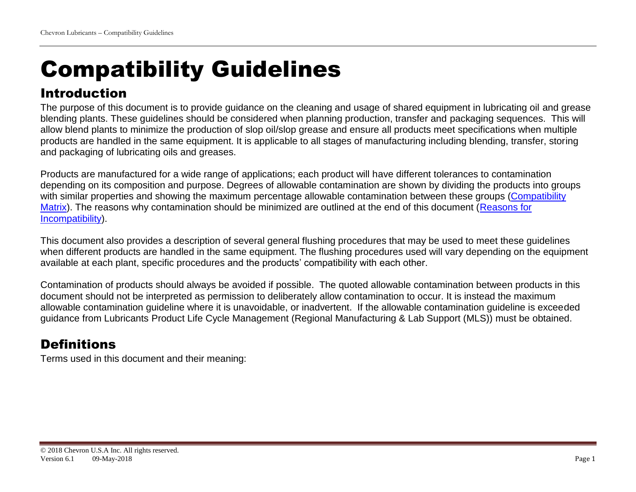# Compatibility Guidelines

# Introduction

The purpose of this document is to provide guidance on the cleaning and usage of shared equipment in lubricating oil and grease blending plants. These guidelines should be considered when planning production, transfer and packaging sequences. This will allow blend plants to minimize the production of slop oil/slop grease and ensure all products meet specifications when multiple products are handled in the same equipment. It is applicable to all stages of manufacturing including blending, transfer, storing and packaging of lubricating oils and greases.

Products are manufactured for a wide range of applications; each product will have different tolerances to contamination depending on its composition and purpose. Degrees of allowable contamination are shown by dividing the products into groups with similar properties and showing the maximum percentage allowable contamination between these groups (Compatibility [Matrix\)](#page-5-0). The reasons why contamination should be minimized are outlined at the end of this document [\(Reasons for](#page-12-0)  [Incompatibility\)](#page-12-0).

This document also provides a description of several general flushing procedures that may be used to meet these guidelines when different products are handled in the same equipment. The flushing procedures used will vary depending on the equipment available at each plant, specific procedures and the products' compatibility with each other.

Contamination of products should always be avoided if possible. The quoted allowable contamination between products in this document should not be interpreted as permission to deliberately allow contamination to occur. It is instead the maximum allowable contamination guideline where it is unavoidable, or inadvertent. If the allowable contamination guideline is exceeded guidance from Lubricants Product Life Cycle Management (Regional Manufacturing & Lab Support (MLS)) must be obtained.

# **Definitions**

Terms used in this document and their meaning: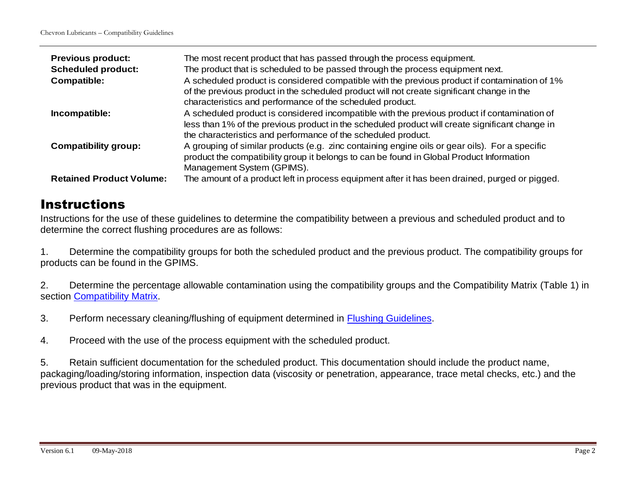| <b>Previous product:</b><br><b>Scheduled product:</b><br><b>Compatible:</b> | The most recent product that has passed through the process equipment.<br>The product that is scheduled to be passed through the process equipment next.<br>A scheduled product is considered compatible with the previous product if contamination of 1%<br>of the previous product in the scheduled product will not create significant change in the<br>characteristics and performance of the scheduled product. |
|-----------------------------------------------------------------------------|----------------------------------------------------------------------------------------------------------------------------------------------------------------------------------------------------------------------------------------------------------------------------------------------------------------------------------------------------------------------------------------------------------------------|
| Incompatible:                                                               | A scheduled product is considered incompatible with the previous product if contamination of<br>less than 1% of the previous product in the scheduled product will create significant change in<br>the characteristics and performance of the scheduled product.                                                                                                                                                     |
| <b>Compatibility group:</b>                                                 | A grouping of similar products (e.g. zinc containing engine oils or gear oils). For a specific<br>product the compatibility group it belongs to can be found in Global Product Information<br>Management System (GPIMS).                                                                                                                                                                                             |
| <b>Retained Product Volume:</b>                                             | The amount of a product left in process equipment after it has been drained, purged or pigged.                                                                                                                                                                                                                                                                                                                       |

## **Instructions**

Instructions for the use of these guidelines to determine the compatibility between a previous and scheduled product and to determine the correct flushing procedures are as follows:

1. Determine the compatibility groups for both the scheduled product and the previous product. The compatibility groups for products can be found in the GPIMS.

2. Determine the percentage allowable contamination using the compatibility groups and the Compatibility Matrix (Table 1) in section [Compatibility Matrix.](#page-5-0)

3. Perform necessary cleaning/flushing of equipment determined in [Flushing Guidelines.](#page-7-0)

4. Proceed with the use of the process equipment with the scheduled product.

5. Retain sufficient documentation for the scheduled product. This documentation should include the product name, packaging/loading/storing information, inspection data (viscosity or penetration, appearance, trace metal checks, etc.) and the previous product that was in the equipment.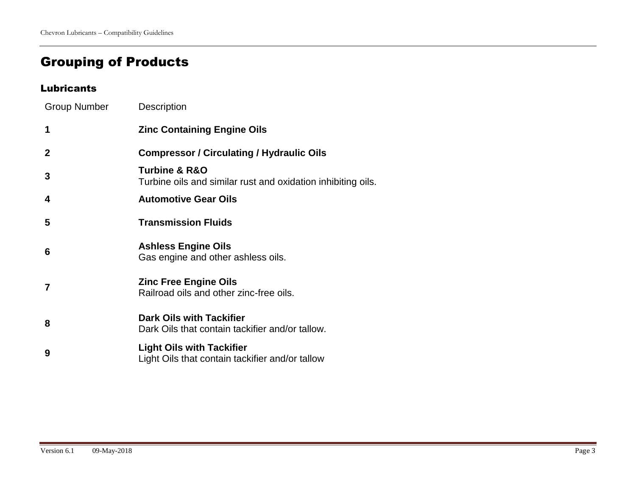# Grouping of Products

#### Lubricants

| Group Number   | <b>Description</b>                                                                           |
|----------------|----------------------------------------------------------------------------------------------|
| $\mathbf 1$    | <b>Zinc Containing Engine Oils</b>                                                           |
| $\overline{2}$ | <b>Compressor / Circulating / Hydraulic Oils</b>                                             |
| 3              | <b>Turbine &amp; R&amp;O</b><br>Turbine oils and similar rust and oxidation inhibiting oils. |
| 4              | <b>Automotive Gear Oils</b>                                                                  |
| 5              | <b>Transmission Fluids</b>                                                                   |
| 6              | <b>Ashless Engine Oils</b><br>Gas engine and other ashless oils.                             |
| $\overline{7}$ | <b>Zinc Free Engine Oils</b><br>Railroad oils and other zinc-free oils.                      |
| 8              | <b>Dark Oils with Tackifier</b><br>Dark Oils that contain tackifier and/or tallow.           |
| 9              | <b>Light Oils with Tackifier</b><br>Light Oils that contain tackifier and/or tallow          |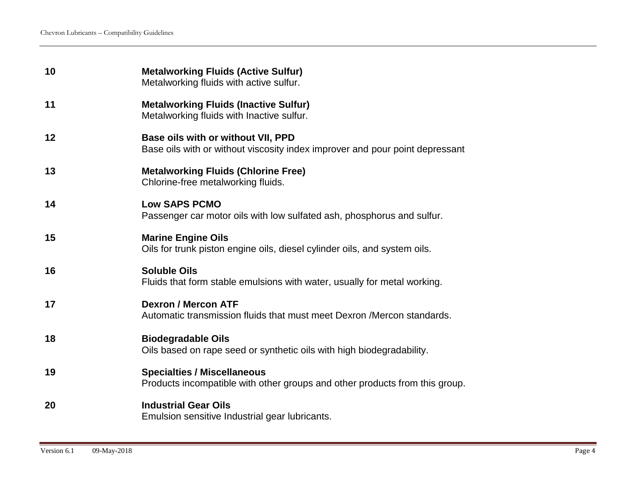| 10 | <b>Metalworking Fluids (Active Sulfur)</b><br>Metalworking fluids with active sulfur.                              |
|----|--------------------------------------------------------------------------------------------------------------------|
| 11 | <b>Metalworking Fluids (Inactive Sulfur)</b><br>Metalworking fluids with Inactive sulfur.                          |
| 12 | Base oils with or without VII, PPD<br>Base oils with or without viscosity index improver and pour point depressant |
| 13 | <b>Metalworking Fluids (Chlorine Free)</b><br>Chlorine-free metalworking fluids.                                   |
| 14 | <b>Low SAPS PCMO</b><br>Passenger car motor oils with low sulfated ash, phosphorus and sulfur.                     |
| 15 | <b>Marine Engine Oils</b><br>Oils for trunk piston engine oils, diesel cylinder oils, and system oils.             |
| 16 | <b>Soluble Oils</b><br>Fluids that form stable emulsions with water, usually for metal working.                    |
| 17 | <b>Dexron / Mercon ATF</b><br>Automatic transmission fluids that must meet Dexron / Mercon standards.              |
| 18 | <b>Biodegradable Oils</b><br>Oils based on rape seed or synthetic oils with high biodegradability.                 |
| 19 | <b>Specialties / Miscellaneous</b><br>Products incompatible with other groups and other products from this group.  |
| 20 | <b>Industrial Gear Oils</b><br>Emulsion sensitive Industrial gear lubricants.                                      |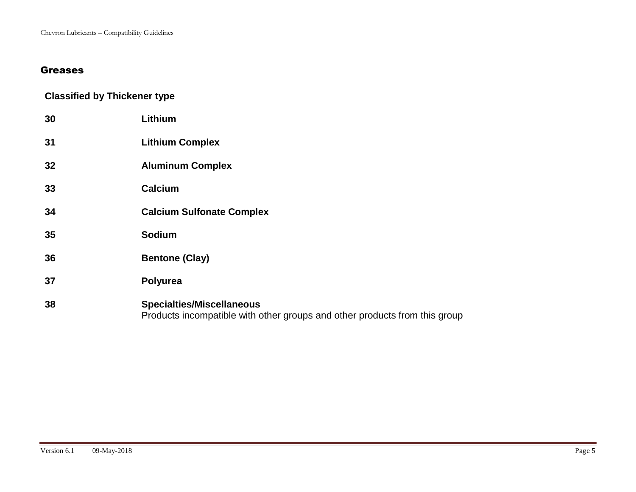### Greases

### **Classified by Thickener type**

| 30 | Lithium                                                                                                        |
|----|----------------------------------------------------------------------------------------------------------------|
| 31 | <b>Lithium Complex</b>                                                                                         |
| 32 | <b>Aluminum Complex</b>                                                                                        |
| 33 | Calcium                                                                                                        |
| 34 | <b>Calcium Sulfonate Complex</b>                                                                               |
| 35 | <b>Sodium</b>                                                                                                  |
| 36 | <b>Bentone (Clay)</b>                                                                                          |
| 37 | Polyurea                                                                                                       |
| 38 | <b>Specialties/Miscellaneous</b><br>Products incompatible with other groups and other products from this group |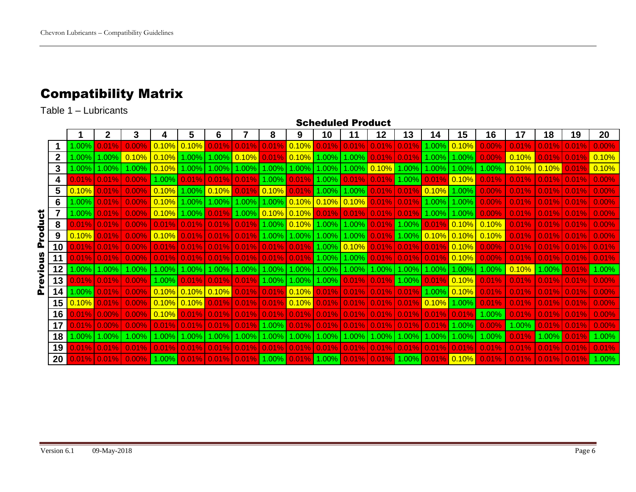# <span id="page-5-0"></span>Compatibility Matrix

Table 1 – Lubricants

|          |    |              |       |       |           |                                   |                |           |           |            | <b>Scheduled Product</b> |                       |            |          |              |          |          |       |       |       |       |
|----------|----|--------------|-------|-------|-----------|-----------------------------------|----------------|-----------|-----------|------------|--------------------------|-----------------------|------------|----------|--------------|----------|----------|-------|-------|-------|-------|
|          |    |              |       |       | 4         | 5                                 | 6              |           | 8         | 9          | 10                       | 11                    | 12         | 13       | 14           | 15       | 16       | 17    | 18    | 19    | 20    |
|          |    | 1.00%        |       | 0.00% | 0.10%     | $ 0.10\%$                         |                | $0.01\%$  | 0.01%     | 0.10%      | 0.01%                    | 0.01%                 | 0.01%      | 0.01%    | 1.00%        | 0.10%    | 0.00%    | 0.01% | 0.01% | 0.01% | 0.00% |
|          |    | $1.00\%$     | 1.00% | 0.10% | 0.10%     | 1.00%                             | 1.00%          | $ 0.10\%$ | 0.01%     | 0.10%      | 1.00%                    | 1.00%                 | 0.01%      | 0.01%    | 1.00%        | $1.00\%$ | 0.00%    | 0.10% | 0.01% | 0.01% | 0.10% |
|          | 3  | $1.00\%$     | 1.00% | 1.00% | $ 0.10\%$ | 1.00%                             | 1.00%          | 1.00%     | .00%      | .00%       | 1.00%                    | 1.00%                 | $ 0.10\%$  | 1.00%    | .00%         | .00%     | 1.00%    | 0.10% | 0.10% |       | 0.10% |
|          |    | 0.01%        | 0.01% | 0.00% | 1.00%     | 0.01%                             | 0.01%          | 0.01%     | $0.00\%$  | 0.01%      | 1.00%                    | 0.01%                 | 0.01%      | 1.00%    | $0.01^\circ$ | 0.10%    | 0.01%    | 0.01% | 0.01% |       | 0.00% |
|          | 5  | 0.10%        |       | 0.00% | 0.10%     |                                   | $1.00\%$ 0.10% |           | 0.10%     | 0.01%      | 1.00%                    | 1.00%                 | 0.01%      | 0.01%    | $ 0.10\% $   | 1.00%    | 0.00%    | 0.01% | 0.01% |       | 0.00% |
|          | 6  | 1.00%        | 0.01% | 0.00% | 0.10%     | 1.00%                             | 1.00%          | 1.00%     | 1.00%     | $ 0.10\%$  |                          | $\sqrt{0.10\%}$ 0.10% | 0.01%      | 0.01%    | 1.00%        | 1.00%    | 0.00%    | 0.01% | 0.01% | 0.01% | 0.00% |
| 5        |    | 1.00%        | 0.01% | 0.00% | 0.10%     | 1.00%                             | 0.01%          | 1.00%     | $ 0.10\%$ | $ 0.10\%$  | $ 0.01\%$                | 0.01%                 | 0.01%      | 0.01%    | 1.00%        | 1.00%    | 0.00%    | 0.01% | 0.01% | 0.01% | 0.00% |
| 릉        | 8  | 0.01%        | 0.01% | 0.00% | 0.01%     | 0.01%                             | 0.01%          | 0.01%     | .00%      | 0.10%      | 1.00%                    | 1.00%                 | 0.01%      | $1.00\%$ | 0.01%        | 0.10%    | 0.10%    | 0.01% | 0.01% |       | 0.00% |
| ဥ        | 9  | 0.10%        | 0.01% | 0.00% | 0.10%     | 0.01%                             | 0.01%          | 0.01%     | 1.00%     | 1.00%      | 1.00%                    | 1.00%                 | 0.01%      | $1.00\%$ | 0.10%        | 0.10%    | 0.10%    | 0.01% | 0.01% | 0.01% | 0.00% |
| <u>a</u> | 10 | $0.01\%$     | 0.01% | 0.00% | 0.01%     | 0.01%                             | 0.01%          | 0.01%     | 0.01%     | 0.01%      |                          | $1.00\%$ 0.10%        | 0.01%      | 0.01%    | 0.01%        | 0.10%    | $0.00\%$ | 0.01% | 0.01% | 0.01% | 0.01% |
| ر<br>د   | 11 | 0.01%        | 0.01% | 0.00% | 0.01%     | 0.01%                             | 0.01%          | 0.01%     | 0.01%     | 0.01%      | 1.00%                    | 1.00%                 | 0.01%      | 0.01%    | 0.01%        | 0.10%    | 0.00%    | 0.01% | 0.01% | 0.01% | 0.01% |
| ە<br>آ   | 12 | $1.00\%$     | 1.00% | 1.00% | 1.00%     | $1.00\%$                          | 1.00%          | $1.00\%$  | .00%      | .00%       | 1.00%                    | 1.00%                 | 1.00%      | 1.00%    | $1.00\%$     | $1.00\%$ | $0.00\%$ | 0.10% | 1.00% | 0.01% | 1.00% |
| ၜႍ       | 13 | 0.01%        | 0.01% | 0.00% | $1.00\%$  | 0.01%                             | 0.01%          | 0.01%     | 1.00%     | 1.00%      | 1.00%                    | 0.01%                 | 0.01%      | 1.00%    | 0.01%        | 0.10%    | 0.01%    | 0.01% | 0.01% | 0.01% | 0.00% |
| Δ.       | 14 | $1.00\%$ $ $ | 0.01% | 0.00% | 0.10%     | $\vert 0.10\% \vert 0.10\% \vert$ |                | 0.01%     | 0.01%     | $ 0.10\% $ | $ 0.01\% $               | 0.01%                 | $ 0.01\% $ | 0.01%    | $1.00\%$     | 0.10%    | 0.01%    | 0.01% | 0.01% | 0.01% | 0.00% |
|          | 15 | 0.10%        |       | 0.00% | 0.10%     | $ 0.10\%$                         | 0.01%          | 0.01%     | 0.01%     | 0.10%      | 0.01%                    | 0.01%                 | 0.01%      | 0.01%    | 0.10%        | 1.00%    | 0.01%    | 0.01% | 0.01% | 0.01% | 0.00% |
|          | 16 | 0.01%        | 0.00% | 0.00% | $0.10\%$  | 0.01%                             | 0.01%          | 0.01%     | 0.01%     | 0.01%      | 0.01%                    | 0.01%                 | 0.01%      | 0.01%    | 0.01%        | 0.01%    | 1.00%    | 0.01% | 0.01% |       | 0.00% |
|          | 17 | 0.01%        | 0.00% | 0.00% | 0.01%     | 0.01%                             | 0.01%          | 0.01%     | 1.00%     | 0.01%      | 0.01%                    | 0.01%                 | 0.01%      | 0.01%    | 0.01%        | 1.00%    | 0.00%    | 1.00% | 0.01% | 0.01% | 0.00% |
|          | 18 | 1.00%        | 1.00% | 1.00% | 1.00%     | 1.00%                             | 1.00%          | 1.00%     | $.00\%$   | .00%       | $.00\%$                  | 1.00%                 | 1.00%      | 1.00%    | 1.00%        | $.00\%$  | 1.00%    | 0.01% | 1.00% |       | 1.00% |
|          | 19 | 0.01%        | 0.01% | 0.01% |           |                                   | 0.01%          | 0.01%     |           | 0.01%      | 0.01%                    | 0.01%                 | 0.01%      | 0.01%    | 0.01%        | 0.01%    | 0.01%    | 0.01% | 0.01% |       | 0.01% |
|          | 20 |              | 0.01% | 0.00% | 1.00%     | 0.01%                             | 0.01%          | 0.01%     | 1.00%     | 0.01%      | 1.00%                    | 0.01%                 | 0.01%      | 1.00%    | 0.01%        | 0.10%    | 0.01%    | 0.01% | 0.01% |       | 1.00% |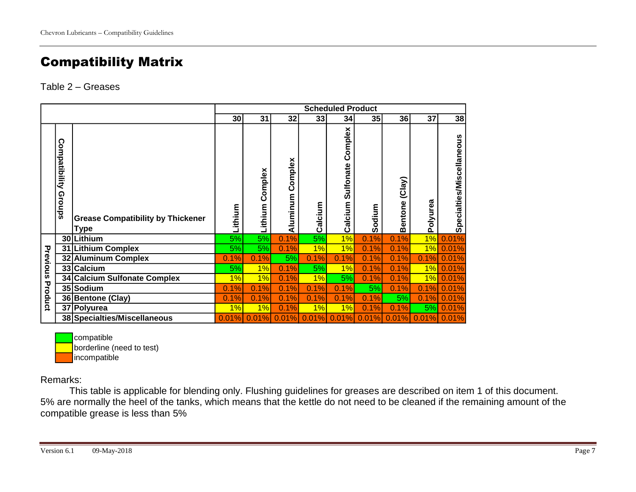# Compatibility Matrix

#### Table 2 – Greases

|          |                                |                                                  |         |                    |                  |         | <b>Scheduled Product</b>               |        |                          |          |                           |
|----------|--------------------------------|--------------------------------------------------|---------|--------------------|------------------|---------|----------------------------------------|--------|--------------------------|----------|---------------------------|
|          |                                |                                                  | 30      | 31                 | 32               | 33      | 34                                     | 35     | 36                       | 37       | 38                        |
|          | <b>Compatibility</b><br>Groups | <b>Grease Compatibility by Thickener</b><br>Type | Lithium | Complex<br>Lithium | Aluminum Complex | Calcium | Complex<br><b>Sulfonate</b><br>Calcium | Sodium | (Clay)<br><b>Bentone</b> | Polyurea | Specialties/Miscellaneous |
|          |                                | 30 Lithium                                       | 5%      | 5%                 | 0.1%             | 5%      | 1%                                     | 0.1%   | 0.1%                     | 1%       | 0.01%                     |
|          |                                | 31 Lithium Complex                               | 5%      | 5%                 | 0.1%             | 1%      | 1%                                     | 0.1%   | 0.1%                     | 1%       | 0.01%                     |
| Previous | 32                             | <b>Aluminum Complex</b>                          | 0.1%    | 0.1%               | 5%               | 0.1%    | 0.1%                                   | 0.1%   | 0.1%                     | 0.1%     | 0.01%                     |
|          |                                | 33 Calcium                                       | 5%      | 1%                 | 0.1%             | 5%      | 1%                                     | 0.1%   | 0.1%                     | 1%       | 0.01%                     |
|          |                                | 34 Calcium Sulfonate Complex                     | 1%      | 1%                 | 0.1%             | 1%      | 5%                                     | 0.1%   | 0.1%                     | 1%       | 0.01%                     |
|          |                                | 35 Sodium                                        | 0.1%    | 0.1%               | 0.1%             | 0.1%    | 0.1%                                   | 5%     | 0.1%                     | 0.1%     | 0.01%                     |
| Product  |                                | 36 Bentone (Clay)                                | 0.1%    | 0.1%               | 0.1%             | 0.1%    | 0.1%                                   | 0.1%   | 5%                       | 0.1%     | 0.01%                     |
|          |                                | 37 Polyurea                                      | 1%      | 1%                 | 0.1%             | 1%      | 1%                                     | 0.1%   | 0.1%                     | 5%       | 0.01%                     |
|          |                                | 38 Specialties/Miscellaneous                     | 0.01%   | 0.01%              | 0.01%            | 0.01%   | 0.01%                                  | 0.01%  | 0.01%                    | 0.01%    | 0.01%                     |

compatible borderline (need to test) incompatible

Remarks:

This table is applicable for blending only. Flushing guidelines for greases are described on item 1 of this document. 5% are normally the heel of the tanks, which means that the kettle do not need to be cleaned if the remaining amount of the compatible grease is less than 5%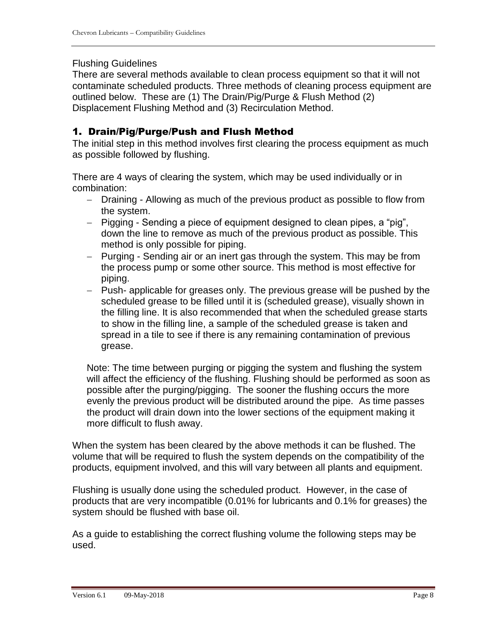#### <span id="page-7-0"></span>Flushing Guidelines

There are several methods available to clean process equipment so that it will not contaminate scheduled products. Three methods of cleaning process equipment are outlined below. These are (1) The Drain/Pig/Purge & Flush Method (2) Displacement Flushing Method and (3) Recirculation Method.

#### 1. Drain/Pig/Purge/Push and Flush Method

The initial step in this method involves first clearing the process equipment as much as possible followed by flushing.

There are 4 ways of clearing the system, which may be used individually or in combination:

- Draining Allowing as much of the previous product as possible to flow from the system.
- Pigging Sending a piece of equipment designed to clean pipes, a "pig", down the line to remove as much of the previous product as possible. This method is only possible for piping.
- Purging Sending air or an inert gas through the system. This may be from the process pump or some other source. This method is most effective for piping.
- Push- applicable for greases only. The previous grease will be pushed by the scheduled grease to be filled until it is (scheduled grease), visually shown in the filling line. It is also recommended that when the scheduled grease starts to show in the filling line, a sample of the scheduled grease is taken and spread in a tile to see if there is any remaining contamination of previous grease.

Note: The time between purging or pigging the system and flushing the system will affect the efficiency of the flushing. Flushing should be performed as soon as possible after the purging/pigging. The sooner the flushing occurs the more evenly the previous product will be distributed around the pipe. As time passes the product will drain down into the lower sections of the equipment making it more difficult to flush away.

When the system has been cleared by the above methods it can be flushed. The volume that will be required to flush the system depends on the compatibility of the products, equipment involved, and this will vary between all plants and equipment.

Flushing is usually done using the scheduled product. However, in the case of products that are very incompatible (0.01% for lubricants and 0.1% for greases) the system should be flushed with base oil.

As a guide to establishing the correct flushing volume the following steps may be used.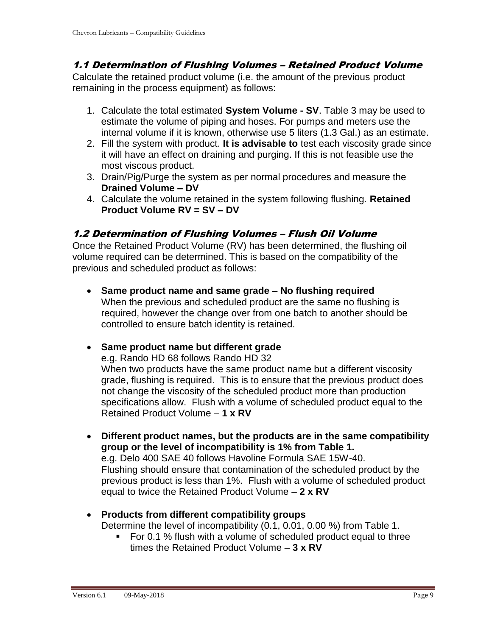#### 1.1 Determination of Flushing Volumes – Retained Product Volume

Calculate the retained product volume (i.e. the amount of the previous product remaining in the process equipment) as follows:

- 1. Calculate the total estimated **System Volume - SV**. Table 3 may be used to estimate the volume of piping and hoses. For pumps and meters use the internal volume if it is known, otherwise use 5 liters (1.3 Gal.) as an estimate.
- 2. Fill the system with product. **It is advisable to** test each viscosity grade since it will have an effect on draining and purging. If this is not feasible use the most viscous product.
- 3. Drain/Pig/Purge the system as per normal procedures and measure the **Drained Volume – DV**
- 4. Calculate the volume retained in the system following flushing. **Retained Product Volume RV = SV – DV**

#### 1.2 Determination of Flushing Volumes – Flush Oil Volume

Once the Retained Product Volume (RV) has been determined, the flushing oil volume required can be determined. This is based on the compatibility of the previous and scheduled product as follows:

• **Same product name and same grade – No flushing required** When the previous and scheduled product are the same no flushing is required, however the change over from one batch to another should be controlled to ensure batch identity is retained.

#### • **Same product name but different grade**

e.g. Rando HD 68 follows Rando HD 32

When two products have the same product name but a different viscosity grade, flushing is required. This is to ensure that the previous product does not change the viscosity of the scheduled product more than production specifications allow. Flush with a volume of scheduled product equal to the Retained Product Volume – **1 x RV**

- **Different product names, but the products are in the same compatibility group or the level of incompatibility is 1% from Table 1.** e.g. Delo 400 SAE 40 follows Havoline Formula SAE 15W-40. Flushing should ensure that contamination of the scheduled product by the previous product is less than 1%. Flush with a volume of scheduled product equal to twice the Retained Product Volume – **2 x RV**
- **Products from different compatibility groups**  Determine the level of incompatibility (0.1, 0.01, 0.00 %) from Table 1.
	- For 0.1 % flush with a volume of scheduled product equal to three times the Retained Product Volume – **3 x RV**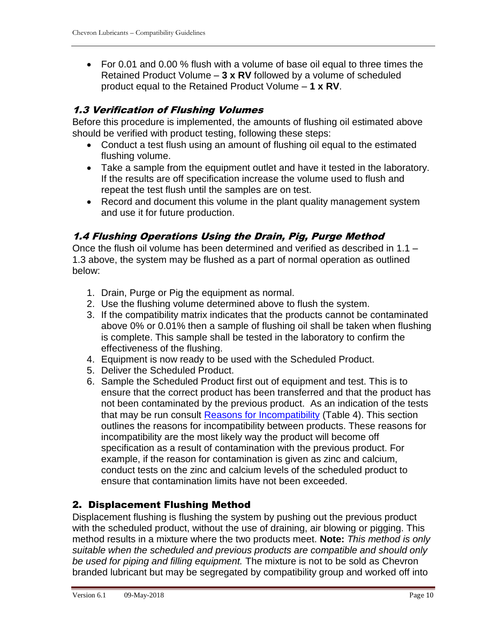• For 0.01 and 0.00 % flush with a volume of base oil equal to three times the Retained Product Volume – **3 x RV** followed by a volume of scheduled product equal to the Retained Product Volume – **1 x RV**.

### 1.3 Verification of Flushing Volumes

Before this procedure is implemented, the amounts of flushing oil estimated above should be verified with product testing, following these steps:

- Conduct a test flush using an amount of flushing oil equal to the estimated flushing volume.
- Take a sample from the equipment outlet and have it tested in the laboratory. If the results are off specification increase the volume used to flush and repeat the test flush until the samples are on test.
- Record and document this volume in the plant quality management system and use it for future production.

### 1.4 Flushing Operations Using the Drain, Pig, Purge Method

Once the flush oil volume has been determined and verified as described in 1.1 – 1.3 above, the system may be flushed as a part of normal operation as outlined below:

- 1. Drain, Purge or Pig the equipment as normal.
- 2. Use the flushing volume determined above to flush the system.
- 3. If the compatibility matrix indicates that the products cannot be contaminated above 0% or 0.01% then a sample of flushing oil shall be taken when flushing is complete. This sample shall be tested in the laboratory to confirm the effectiveness of the flushing.
- 4. Equipment is now ready to be used with the Scheduled Product.
- 5. Deliver the Scheduled Product.
- 6. Sample the Scheduled Product first out of equipment and test. This is to ensure that the correct product has been transferred and that the product has not been contaminated by the previous product. As an indication of the tests that may be run consult [Reasons for Incompatibility](#page-12-1) (Table 4). This section outlines the reasons for incompatibility between products. These reasons for incompatibility are the most likely way the product will become off specification as a result of contamination with the previous product. For example, if the reason for contamination is given as zinc and calcium, conduct tests on the zinc and calcium levels of the scheduled product to ensure that contamination limits have not been exceeded.

#### 2. Displacement Flushing Method

Displacement flushing is flushing the system by pushing out the previous product with the scheduled product, without the use of draining, air blowing or pigging. This method results in a mixture where the two products meet. **Note:** *This method is only suitable when the scheduled and previous products are compatible and should only be used for piping and filling equipment.* The mixture is not to be sold as Chevron branded lubricant but may be segregated by compatibility group and worked off into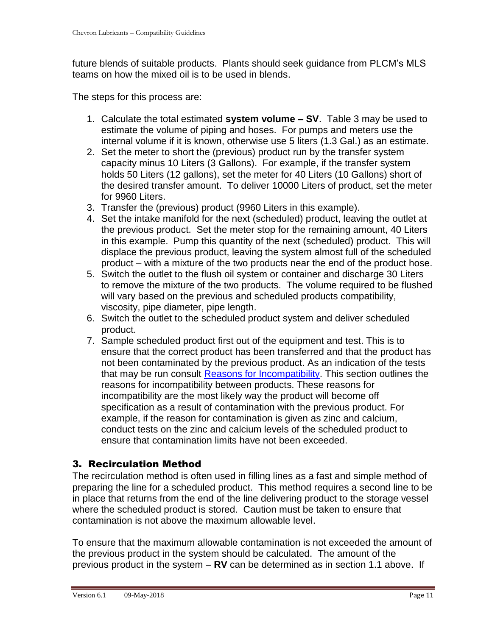future blends of suitable products. Plants should seek guidance from PLCM's MLS teams on how the mixed oil is to be used in blends.

The steps for this process are:

- 1. Calculate the total estimated **system volume – SV**. Table 3 may be used to estimate the volume of piping and hoses. For pumps and meters use the internal volume if it is known, otherwise use 5 liters (1.3 Gal.) as an estimate.
- 2. Set the meter to short the (previous) product run by the transfer system capacity minus 10 Liters (3 Gallons). For example, if the transfer system holds 50 Liters (12 gallons), set the meter for 40 Liters (10 Gallons) short of the desired transfer amount. To deliver 10000 Liters of product, set the meter for 9960 Liters.
- 3. Transfer the (previous) product (9960 Liters in this example).
- 4. Set the intake manifold for the next (scheduled) product, leaving the outlet at the previous product. Set the meter stop for the remaining amount, 40 Liters in this example. Pump this quantity of the next (scheduled) product. This will displace the previous product, leaving the system almost full of the scheduled product – with a mixture of the two products near the end of the product hose.
- 5. Switch the outlet to the flush oil system or container and discharge 30 Liters to remove the mixture of the two products. The volume required to be flushed will vary based on the previous and scheduled products compatibility, viscosity, pipe diameter, pipe length.
- 6. Switch the outlet to the scheduled product system and deliver scheduled product.
- 7. Sample scheduled product first out of the equipment and test. This is to ensure that the correct product has been transferred and that the product has not been contaminated by the previous product. As an indication of the tests that may be run consult [Reasons for Incompatibility.](#page-12-1) This section outlines the reasons for incompatibility between products. These reasons for incompatibility are the most likely way the product will become off specification as a result of contamination with the previous product. For example, if the reason for contamination is given as zinc and calcium, conduct tests on the zinc and calcium levels of the scheduled product to ensure that contamination limits have not been exceeded.

### 3. Recirculation Method

The recirculation method is often used in filling lines as a fast and simple method of preparing the line for a scheduled product. This method requires a second line to be in place that returns from the end of the line delivering product to the storage vessel where the scheduled product is stored. Caution must be taken to ensure that contamination is not above the maximum allowable level.

To ensure that the maximum allowable contamination is not exceeded the amount of the previous product in the system should be calculated. The amount of the previous product in the system – **RV** can be determined as in section 1.1 above. If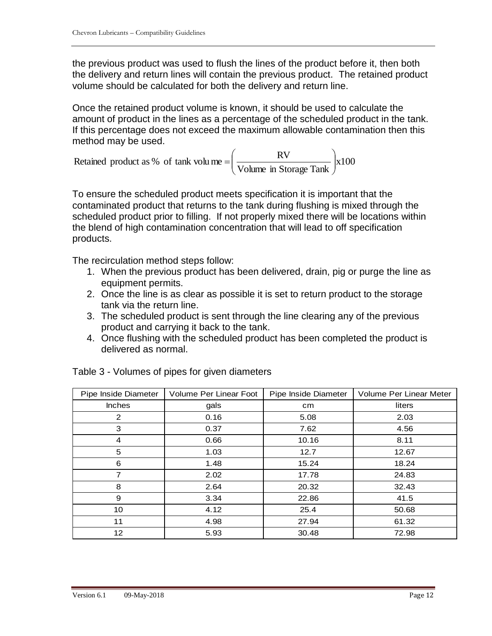the previous product was used to flush the lines of the product before it, then both the delivery and return lines will contain the previous product. The retained product volume should be calculated for both the delivery and return line.

Once the retained product volume is known, it should be used to calculate the amount of product in the lines as a percentage of the scheduled product in the tank. If this percentage does not exceed the maximum allowable contamination then this method may be used.

x100 Retained product as % of tank volume  $= \left(\frac{RV}{Volume \text{ in Storage Tank}}\right)$ J  $\backslash$  $\overline{\phantom{a}}$  $\setminus$ ſ  $=$ 

To ensure the scheduled product meets specification it is important that the contaminated product that returns to the tank during flushing is mixed through the scheduled product prior to filling. If not properly mixed there will be locations within the blend of high contamination concentration that will lead to off specification products.

The recirculation method steps follow:

- 1. When the previous product has been delivered, drain, pig or purge the line as equipment permits.
- 2. Once the line is as clear as possible it is set to return product to the storage tank via the return line.
- 3. The scheduled product is sent through the line clearing any of the previous product and carrying it back to the tank.
- 4. Once flushing with the scheduled product has been completed the product is delivered as normal.

| Pipe Inside Diameter | Volume Per Linear Foot | Pipe Inside Diameter | Volume Per Linear Meter |
|----------------------|------------------------|----------------------|-------------------------|
| <b>Inches</b>        | gals                   | cm                   | liters                  |
| 2                    | 0.16                   | 5.08                 | 2.03                    |
| 3                    | 0.37                   | 7.62                 | 4.56                    |
| 4                    | 0.66                   | 10.16                | 8.11                    |
| 5                    | 1.03                   | 12.7                 | 12.67                   |
| 6                    | 1.48                   | 15.24                | 18.24                   |
| 7                    | 2.02                   | 17.78                | 24.83                   |
| 8                    | 2.64                   | 20.32                | 32.43                   |
| 9                    | 3.34                   | 22.86                | 41.5                    |
| 10                   | 4.12                   | 25.4                 | 50.68                   |
| 11                   | 4.98                   | 27.94                | 61.32                   |
| 12                   | 5.93                   | 30.48                | 72.98                   |

Table 3 - Volumes of pipes for given diameters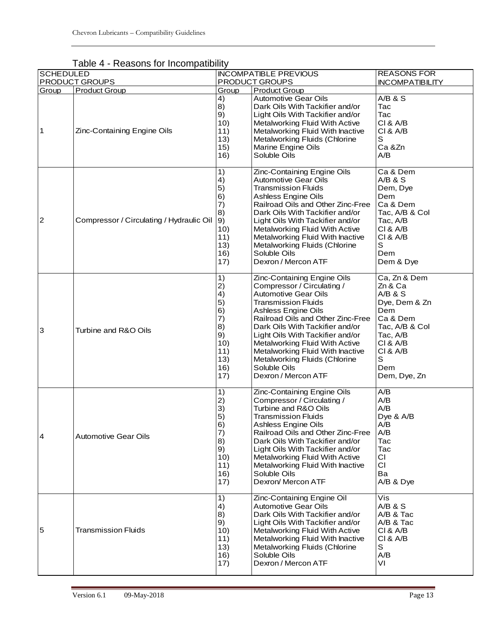| <b>SCHEDULED</b> | $1$ unique<br><b>TROGOOTIO TOT THOOTHPOGIOTIC</b> |                                                                                 | <b>INCOMPATIBLE PREVIOUS</b>                                                                                                                                                                                                                                                                                                                                                                            | <b>REASONS FOR</b>                                                                                                                                                                       |
|------------------|---------------------------------------------------|---------------------------------------------------------------------------------|---------------------------------------------------------------------------------------------------------------------------------------------------------------------------------------------------------------------------------------------------------------------------------------------------------------------------------------------------------------------------------------------------------|------------------------------------------------------------------------------------------------------------------------------------------------------------------------------------------|
|                  | PRODUCT GROUPS                                    |                                                                                 | PRODUCT GROUPS                                                                                                                                                                                                                                                                                                                                                                                          | <b>INCOMPATIBILITY</b>                                                                                                                                                                   |
| Group<br>1       | Product Group<br>Zinc-Containing Engine Oils      | Group<br>4)<br>8)<br>9)<br>10)<br>11)<br>13)<br>15)<br>16)                      | <b>Product Group</b><br><b>Automotive Gear Oils</b><br>Dark Oils With Tackifier and/or<br>Light Oils With Tackifier and/or<br>Metalworking Fluid With Active<br>Metalworking Fluid With Inactive<br>Metalworking Fluids (Chlorine<br>Marine Engine Oils<br>Soluble Oils                                                                                                                                 | A/B & S<br>Tac<br>Tac<br><b>CI &amp; A/B</b><br>CI & A/B<br>$\mathbb S$<br>Ca &Zn<br>A/B                                                                                                 |
| $\overline{c}$   | Compressor / Circulating / Hydraulic Oil          | 1)<br>4)<br>5)<br>6)<br>7)<br>8)<br>9)<br>10)<br>11)<br>13)<br>16)<br>17)       | Zinc-Containing Engine Oils<br><b>Automotive Gear Oils</b><br><b>Transmission Fluids</b><br>Ashless Engine Oils<br>Railroad Oils and Other Zinc-Free<br>Dark Oils With Tackifier and/or<br>Light Oils With Tackifier and/or<br>Metalworking Fluid With Active<br>Metalworking Fluid With Inactive<br>Metalworking Fluids (Chlorine<br>Soluble Oils<br>Dexron / Mercon ATF                               | Ca & Dem<br>A/B & S<br>Dem, Dye<br>Dem<br>Ca & Dem<br>Tac, A/B & Col<br>Tac, A/B<br>CI & A/B<br><b>CI &amp; A/B</b><br>S<br>Dem<br>Dem & Dye                                             |
| 3                | Turbine and R&O Oils                              | 1)<br>2)<br>4)<br>5)<br>6)<br>7)<br>8)<br>9)<br>10)<br>11)<br>13)<br>16)<br>17) | Zinc-Containing Engine Oils<br>Compressor / Circulating /<br><b>Automotive Gear Oils</b><br><b>Transmission Fluids</b><br>Ashless Engine Oils<br>Railroad Oils and Other Zinc-Free<br>Dark Oils With Tackifier and/or<br>Light Oils With Tackifier and/or<br>Metalworking Fluid With Active<br>Metalworking Fluid With Inactive<br>Metalworking Fluids (Chlorine<br>Soluble Oils<br>Dexron / Mercon ATF | Ca, Zn & Dem<br>Zn & Ca<br>$A/B$ & $S$<br>Dye, Dem & Zn<br><b>Dem</b><br>Ca & Dem<br>Tac, A/B & Col<br>Tac, A/B<br><b>CI &amp; A/B</b><br>CI & A/B<br>$\mathbb S$<br>Dem<br>Dem, Dye, Zn |
| 4                | <b>Automotive Gear Oils</b>                       | 1)<br>2)<br>3)<br>5)<br>6)<br>7)<br>8)<br>9)<br>10)<br>11)<br>16)<br>17)        | Zinc-Containing Engine Oils<br>Compressor / Circulating /<br>Turbine and R&O Oils<br><b>Transmission Fluids</b><br>Ashless Engine Oils<br>Railroad Oils and Other Zinc-Free<br>Dark Oils With Tackifier and/or<br>Light Oils With Tackifier and/or<br>Metalworking Fluid With Active<br>Metalworking Fluid With Inactive<br>Soluble Oils<br>Dexron/ Mercon ATF                                          | A/B<br>A/B<br>A/B<br>Dye & A/B<br>A/B<br>A/B<br>Tac<br>Tac<br>СI<br>CI<br>Ba<br>A/B & Dye                                                                                                |
| 5                | <b>Transmission Fluids</b>                        | 1)<br>4)<br>8)<br>9)<br>10)<br>11)<br>13)<br>16)<br>17)                         | Zinc-Containing Engine Oil<br><b>Automotive Gear Oils</b><br>Dark Oils With Tackifier and/or<br>Light Oils With Tackifier and/or<br>Metalworking Fluid With Active<br>Metalworking Fluid With Inactive<br>Metalworking Fluids (Chlorine<br>Soluble Oils<br>Dexron / Mercon ATF                                                                                                                          | Vis<br>A/B & S<br>A/B & Tac<br>A/B & Tac<br><b>CI &amp; A/B</b><br>CI & A/B<br>S<br>A/B<br>VI                                                                                            |

<span id="page-12-1"></span><span id="page-12-0"></span>Table 4 - Reasons for Incompatibility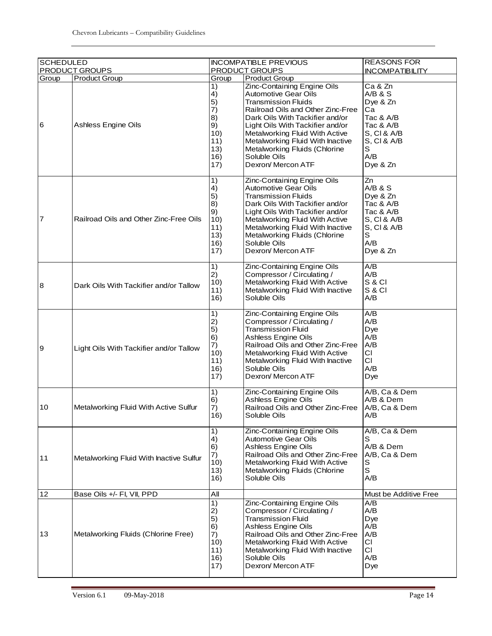| <b>SCHEDULED</b> |                                             |                                                                              | <b>INCOMPATIBLE PREVIOUS</b>                                                                                                                                                                                                                                                                                                                                              | <b>REASONS FOR</b>                                                                                                   |
|------------------|---------------------------------------------|------------------------------------------------------------------------------|---------------------------------------------------------------------------------------------------------------------------------------------------------------------------------------------------------------------------------------------------------------------------------------------------------------------------------------------------------------------------|----------------------------------------------------------------------------------------------------------------------|
|                  | <b>PRODUCT GROUPS</b>                       |                                                                              | PRODUCT GROUPS                                                                                                                                                                                                                                                                                                                                                            | <b>INCOMPATIBILITY</b>                                                                                               |
| Group<br>6       | <b>Product Group</b><br>Ashless Engine Oils | Group<br>1)<br>4)<br>5)<br>7)<br>8)<br>9)<br>10)<br>11)<br>13)<br>16)<br>17) | <b>Product Group</b><br>Zinc-Containing Engine Oils<br><b>Automotive Gear Oils</b><br><b>Transmission Fluids</b><br>Railroad Oils and Other Zinc-Free<br>Dark Oils With Tackifier and/or<br>Light Oils With Tackifier and/or<br>Metalworking Fluid With Active<br>Metalworking Fluid With Inactive<br>Metalworking Fluids (Chlorine<br>Soluble Oils<br>Dexron/ Mercon ATF | Ca & Zn<br>A/B & S<br>Dye & Zn<br>Сa<br>Tac & A/B<br>Tac & A/B<br>S, CI & A/B<br>S, CI & A/B<br>S<br>A/B<br>Dye & Zn |
| 7                | Railroad Oils and Other Zinc-Free Oils      | 1)<br>4)<br>5)<br>8)<br>9)<br>10)<br>11)<br>13)<br>16)<br>17)                | Zinc-Containing Engine Oils<br>Automotive Gear Oils<br><b>Transmission Fluids</b><br>Dark Oils With Tackifier and/or<br>Light Oils With Tackifier and/or<br>Metalworking Fluid With Active<br>Metalworking Fluid With Inactive<br>Metalworking Fluids (Chlorine<br>Soluble Oils<br>Dexron/ Mercon ATF                                                                     | Zn<br>A/B & S<br>Dye & Zn<br>Tac & A/B<br>Tac & A/B<br>S, CI & A/B<br>S, CI & A/B<br>$\mathbb S$<br>A/B<br>Dye & Zn  |
| 8                | Dark Oils With Tackifier and/or Tallow      | 1)<br>2)<br>10)<br>11)<br>16)                                                | Zinc-Containing Engine Oils<br>Compressor / Circulating /<br>Metalworking Fluid With Active<br>Metalworking Fluid With Inactive<br>Soluble Oils                                                                                                                                                                                                                           | A/B<br>A/B<br>S & CI<br><b>S &amp; CI</b><br>A/B                                                                     |
| 9                | Light Oils With Tackifier and/or Tallow     | 1)<br>2)<br>5)<br>6)<br>7)<br>10)<br>11)<br>16)<br>17)                       | Zinc-Containing Engine Oils<br>Compressor / Circulating /<br><b>Transmission Fluid</b><br><b>Ashless Engine Oils</b><br>Railroad Oils and Other Zinc-Free<br>Metalworking Fluid With Active<br>Metalworking Fluid With Inactive<br>Soluble Oils<br>Dexron/ Mercon ATF                                                                                                     | A/B<br>A/B<br>Dye<br>A/B<br>A/B<br>CI<br>CI<br>A/B<br>Dye                                                            |
| 10               | Metalworking Fluid With Active Sulfur       | 1)<br>6)<br>7)<br>16)                                                        | Zinc-Containing Engine Oils<br>Ashless Engine Oils<br>Railroad Oils and Other Zinc-Free<br>Soluble Oils                                                                                                                                                                                                                                                                   | A/B, Ca & Dem<br>A/B & Dem<br>A/B, Ca & Dem<br>A/B                                                                   |
| 11               | Metalworking Fluid With Inactive Sulfur     | 1)<br>4)<br>6)<br>7)<br>10)<br>13)<br>16)                                    | Zinc-Containing Engine Oils<br><b>Automotive Gear Oils</b><br>Ashless Engine Oils<br>Railroad Oils and Other Zinc-Free<br>Metalworking Fluid With Active<br>Metalworking Fluids (Chlorine<br>Soluble Oils                                                                                                                                                                 | A/B, Ca & Dem<br>s<br>A/B & Dem<br>A/B, Ca & Dem<br>s<br>S<br>A/B                                                    |
| 12               | Base Oils +/- FI, VII, PPD                  | All                                                                          |                                                                                                                                                                                                                                                                                                                                                                           | Must be Additive Free                                                                                                |
| 13               | Metalworking Fluids (Chlorine Free)         | 1)<br>2)<br>5)<br>6)<br>7)<br>10)<br>11)<br>16)<br>17)                       | Zinc-Containing Engine Oils<br>Compressor / Circulating /<br><b>Transmission Fluid</b><br>Ashless Engine Oils<br>Railroad Oils and Other Zinc-Free<br>Metalworking Fluid With Active<br>Metalworking Fluid With Inactive<br>Soluble Oils<br>Dexron/ Mercon ATF                                                                                                            | A/B<br>A/B<br>Dye<br>A/B<br>A/B<br>СI<br>CI<br>A/B<br>Dye                                                            |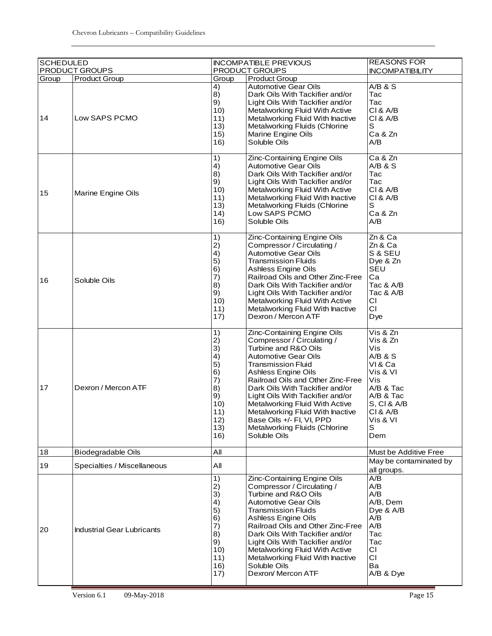| <b>SCHEDULED</b> |                                   |                                                                                       | <b>INCOMPATIBLE PREVIOUS</b>                                                                                                                                                                                                                                                                                                                                                                                                  | <b>REASONS FOR</b>                                                                                                                                  |
|------------------|-----------------------------------|---------------------------------------------------------------------------------------|-------------------------------------------------------------------------------------------------------------------------------------------------------------------------------------------------------------------------------------------------------------------------------------------------------------------------------------------------------------------------------------------------------------------------------|-----------------------------------------------------------------------------------------------------------------------------------------------------|
|                  | PRODUCT GROUPS                    |                                                                                       | PRODUCT GROUPS                                                                                                                                                                                                                                                                                                                                                                                                                | <b>INCOMPATIBILITY</b>                                                                                                                              |
| Group            | <b>Product Group</b>              | Group<br>4)                                                                           | <b>Product Group</b><br>Automotive Gear Oils                                                                                                                                                                                                                                                                                                                                                                                  | $A/B$ & $S$                                                                                                                                         |
| 14               | Low SAPS PCMO                     | 8)<br>9)<br>10)<br>11)<br>13)<br>15)<br>16)                                           | Dark Oils With Tackifier and/or<br>Light Oils With Tackifier and/or<br>Metalworking Fluid With Active<br>Metalworking Fluid With Inactive<br>Metalworking Fluids (Chlorine<br>Marine Engine Oils<br>Soluble Oils                                                                                                                                                                                                              | Tac<br>Tac<br>CI & A/B<br>CI & A/B<br>$\mathbb S$<br>Ca & Zn<br>A/B                                                                                 |
| 15               | Marine Engine Oils                | 1)<br>4)<br>8)<br>9)<br>10)<br>11)<br>13)<br>14)<br>16)                               | Zinc-Containing Engine Oils<br>Automotive Gear Oils<br>Dark Oils With Tackifier and/or<br>Light Oils With Tackifier and/or<br>Metalworking Fluid With Active<br>Metalworking Fluid With Inactive<br>Metalworking Fluids (Chlorine<br>Low SAPS PCMO<br>Soluble Oils                                                                                                                                                            | Ca & Zn<br>A/B & S<br>Tac<br>Tac<br><b>CI &amp; A/B</b><br><b>CI &amp; A/B</b><br>$\mathbf S$<br>Ca & Zn<br>A/B                                     |
| 16               | Soluble Oils                      | 1)<br>2)<br>4)<br>5)<br>6)<br>7)<br>8)<br>9)<br>10)<br>11)<br>17)                     | Zinc-Containing Engine Oils<br>Compressor / Circulating /<br><b>Automotive Gear Oils</b><br><b>Transmission Fluids</b><br><b>Ashless Engine Oils</b><br>Railroad Oils and Other Zinc-Free<br>Dark Oils With Tackifier and/or<br>Light Oils With Tackifier and/or<br>Metalworking Fluid With Active<br>Metalworking Fluid With Inactive<br>Dexron / Mercon ATF                                                                 | Zn & Ca<br>Zn & Ca<br>S & SEU<br>Dye & Zn<br><b>SEU</b><br>Ca<br>Tac & A/B<br>Tac & A/B<br>СI<br>СI<br>Dye                                          |
| 17               | Dexron / Mercon ATF               | 1)<br>2)<br>3)<br>4)<br>5)<br>6)<br>7)<br>8)<br>9)<br>10)<br>11)<br>12)<br>13)<br>16) | Zinc-Containing Engine Oils<br>Compressor / Circulating /<br>Turbine and R&O Oils<br>Automotive Gear Oils<br><b>Transmission Fluid</b><br>Ashless Engine Oils<br>Railroad Oils and Other Zinc-Free<br>Dark Oils With Tackifier and/or<br>Light Oils With Tackifier and/or<br>Metalworking Fluid With Active<br>Metalworking Fluid With Inactive<br>Base Oils +/- FI, VI, PPD<br>Metalworking Fluids (Chlorine<br>Soluble Oils | Vis & Zn<br>Vis & Zn<br>Vis<br>$A/B$ & $S$<br>VI&Ca<br>Vis & VI<br>Vis<br>A/B & Tac<br>A/B & Tac<br>S, CI & A/B<br>CI & A/B<br>Vis & VI<br>S<br>Dem |
| 18               | Biodegradable Oils                | All                                                                                   |                                                                                                                                                                                                                                                                                                                                                                                                                               | Must be Additive Free                                                                                                                               |
| 19               | Specialties / Miscellaneous       | All                                                                                   |                                                                                                                                                                                                                                                                                                                                                                                                                               | May be contaminated by<br>all groups.                                                                                                               |
| 20               | <b>Industrial Gear Lubricants</b> | 1)<br>2)<br>3)<br>4)<br>5)<br>6)<br>7)<br>8)<br>9)<br>10)<br>11)<br>16)<br>17)        | Zinc-Containing Engine Oils<br>Compressor / Circulating /<br>Turbine and R&O Oils<br><b>Automotive Gear Oils</b><br><b>Transmission Fluids</b><br>Ashless Engine Oils<br>Railroad Oils and Other Zinc-Free<br>Dark Oils With Tackifier and/or<br>Light Oils With Tackifier and/or<br>Metalworking Fluid With Active<br>Metalworking Fluid With Inactive<br>Soluble Oils<br>Dexron/ Mercon ATF                                 | A/B<br>A/B<br>A/B<br>A/B, Dem<br>Dye & $A/B$<br>A/B<br>A/B<br>Tac<br>Tac<br>СI<br>СI<br>Ba<br>A/B & Dye                                             |